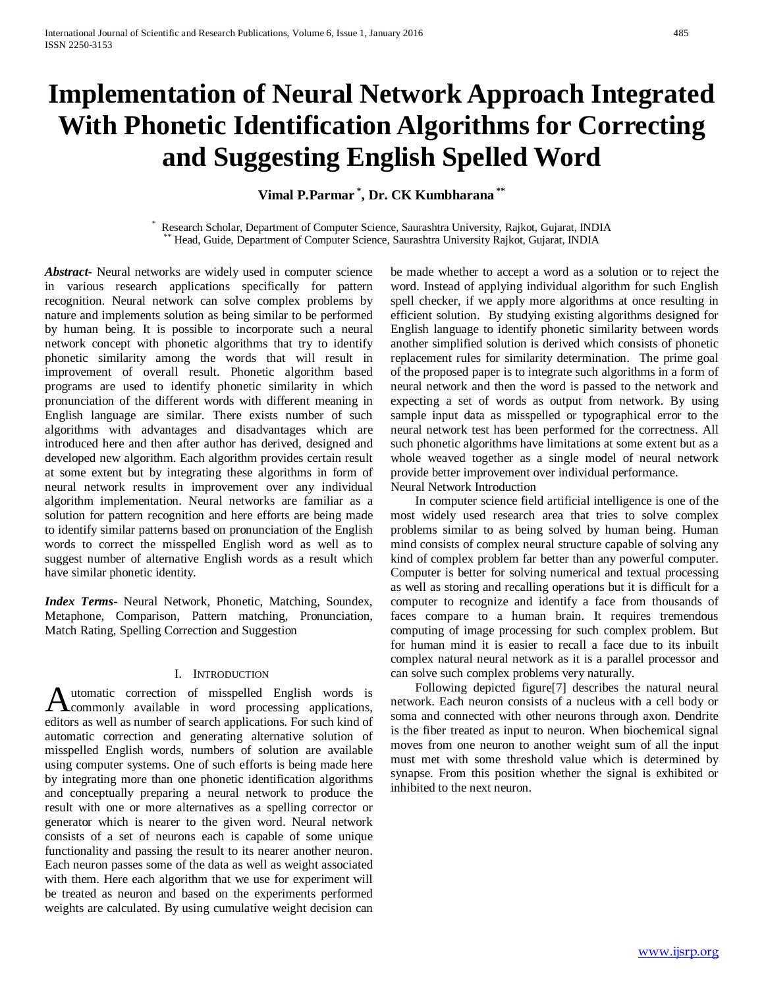# **Implementation of Neural Network Approach Integrated With Phonetic Identification Algorithms for Correcting and Suggesting English Spelled Word**

# **Vimal P.Parmar \* , Dr. CK Kumbharana \*\***

\* Research Scholar, Department of Computer Science, Saurashtra University, Rajkot, Gujarat, INDIA \*\* Head, Guide, Department of Computer Science, Saurashtra University Rajkot, Gujarat, INDIA

*Abstract***-** Neural networks are widely used in computer science in various research applications specifically for pattern recognition. Neural network can solve complex problems by nature and implements solution as being similar to be performed by human being. It is possible to incorporate such a neural network concept with phonetic algorithms that try to identify phonetic similarity among the words that will result in improvement of overall result. Phonetic algorithm based programs are used to identify phonetic similarity in which pronunciation of the different words with different meaning in English language are similar. There exists number of such algorithms with advantages and disadvantages which are introduced here and then after author has derived, designed and developed new algorithm. Each algorithm provides certain result at some extent but by integrating these algorithms in form of neural network results in improvement over any individual algorithm implementation. Neural networks are familiar as a solution for pattern recognition and here efforts are being made to identify similar patterns based on pronunciation of the English words to correct the misspelled English word as well as to suggest number of alternative English words as a result which have similar phonetic identity.

*Index Terms*- Neural Network, Phonetic, Matching, Soundex, Metaphone, Comparison, Pattern matching, Pronunciation, Match Rating, Spelling Correction and Suggestion

# I. INTRODUCTION

utomatic correction of misspelled English words is Automatic correction of misspelled English words is<br>commonly available in word processing applications, editors as well as number of search applications. For such kind of automatic correction and generating alternative solution of misspelled English words, numbers of solution are available using computer systems. One of such efforts is being made here by integrating more than one phonetic identification algorithms and conceptually preparing a neural network to produce the result with one or more alternatives as a spelling corrector or generator which is nearer to the given word. Neural network consists of a set of neurons each is capable of some unique functionality and passing the result to its nearer another neuron. Each neuron passes some of the data as well as weight associated with them. Here each algorithm that we use for experiment will be treated as neuron and based on the experiments performed weights are calculated. By using cumulative weight decision can

be made whether to accept a word as a solution or to reject the word. Instead of applying individual algorithm for such English spell checker, if we apply more algorithms at once resulting in efficient solution. By studying existing algorithms designed for English language to identify phonetic similarity between words another simplified solution is derived which consists of phonetic replacement rules for similarity determination. The prime goal of the proposed paper is to integrate such algorithms in a form of neural network and then the word is passed to the network and expecting a set of words as output from network. By using sample input data as misspelled or typographical error to the neural network test has been performed for the correctness. All such phonetic algorithms have limitations at some extent but as a whole weaved together as a single model of neural network provide better improvement over individual performance. Neural Network Introduction

 In computer science field artificial intelligence is one of the most widely used research area that tries to solve complex problems similar to as being solved by human being. Human mind consists of complex neural structure capable of solving any kind of complex problem far better than any powerful computer. Computer is better for solving numerical and textual processing as well as storing and recalling operations but it is difficult for a computer to recognize and identify a face from thousands of faces compare to a human brain. It requires tremendous computing of image processing for such complex problem. But for human mind it is easier to recall a face due to its inbuilt complex natural neural network as it is a parallel processor and can solve such complex problems very naturally.

 Following depicted figure[7] describes the natural neural network. Each neuron consists of a nucleus with a cell body or soma and connected with other neurons through axon. Dendrite is the fiber treated as input to neuron. When biochemical signal moves from one neuron to another weight sum of all the input must met with some threshold value which is determined by synapse. From this position whether the signal is exhibited or inhibited to the next neuron.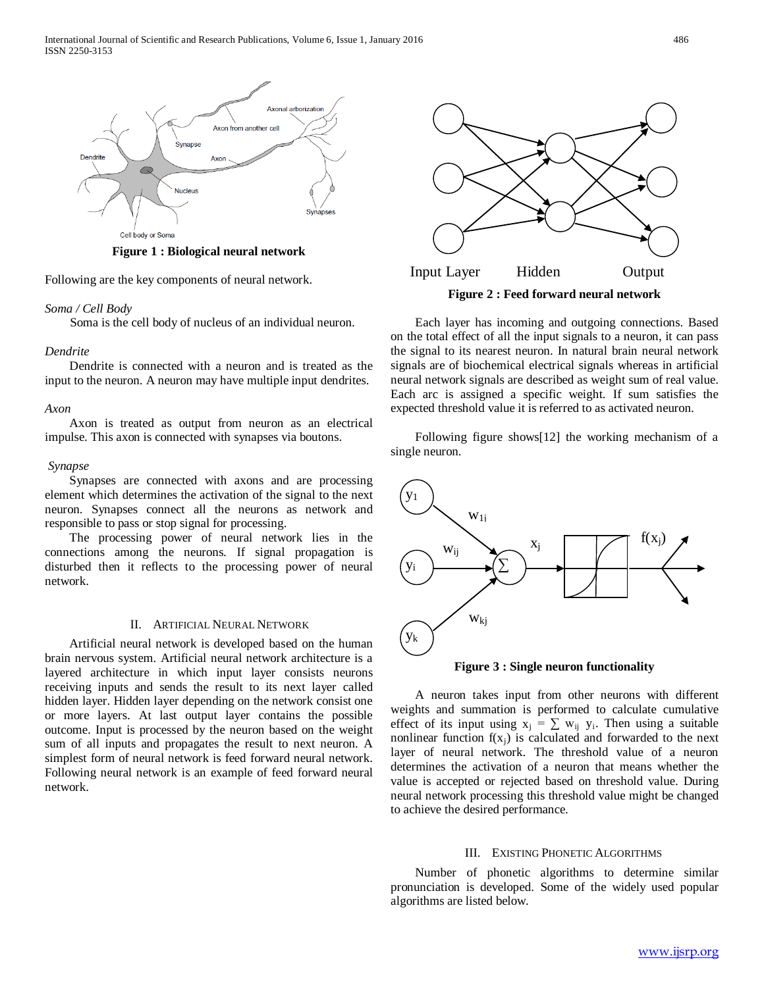

**Figure 1 : Biological neural network**

Following are the key components of neural network.

# *Soma / Cell Body*

Soma is the cell body of nucleus of an individual neuron.

# *Dendrite*

 Dendrite is connected with a neuron and is treated as the input to the neuron. A neuron may have multiple input dendrites.

#### *Axon*

 Axon is treated as output from neuron as an electrical impulse. This axon is connected with synapses via boutons.

#### *Synapse*

 Synapses are connected with axons and are processing element which determines the activation of the signal to the next neuron. Synapses connect all the neurons as network and responsible to pass or stop signal for processing.

 The processing power of neural network lies in the connections among the neurons. If signal propagation is disturbed then it reflects to the processing power of neural network.

# II. ARTIFICIAL NEURAL NETWORK

 Artificial neural network is developed based on the human brain nervous system. Artificial neural network architecture is a layered architecture in which input layer consists neurons receiving inputs and sends the result to its next layer called hidden layer. Hidden layer depending on the network consist one or more layers. At last output layer contains the possible outcome. Input is processed by the neuron based on the weight sum of all inputs and propagates the result to next neuron. A simplest form of neural network is feed forward neural network. Following neural network is an example of feed forward neural network.



 Each layer has incoming and outgoing connections. Based on the total effect of all the input signals to a neuron, it can pass the signal to its nearest neuron. In natural brain neural network signals are of biochemical electrical signals whereas in artificial neural network signals are described as weight sum of real value. Each arc is assigned a specific weight. If sum satisfies the expected threshold value it is referred to as activated neuron.

 Following figure shows[12] the working mechanism of a single neuron.



**Figure 3 : Single neuron functionality**

 A neuron takes input from other neurons with different weights and summation is performed to calculate cumulative effect of its input using  $x_j = \sum w_{ij} y_i$ . Then using a suitable nonlinear function  $f(x_i)$  is calculated and forwarded to the next layer of neural network. The threshold value of a neuron determines the activation of a neuron that means whether the value is accepted or rejected based on threshold value. During neural network processing this threshold value might be changed to achieve the desired performance.

#### III. EXISTING PHONETIC ALGORITHMS

 Number of phonetic algorithms to determine similar pronunciation is developed. Some of the widely used popular algorithms are listed below.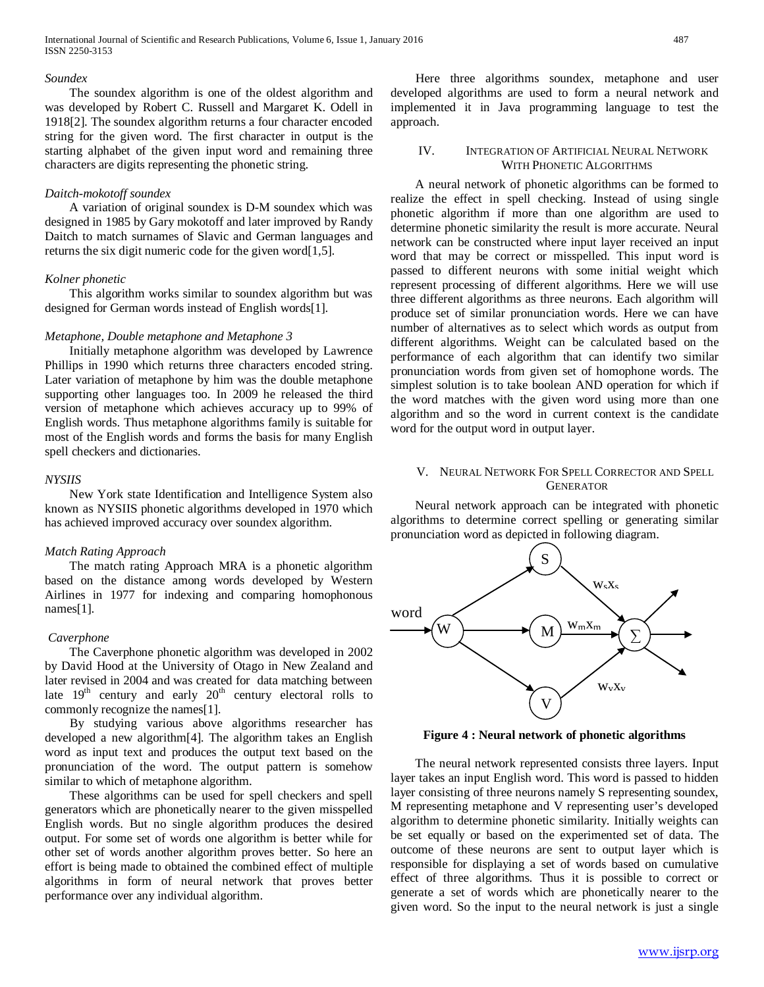#### *Soundex*

 The soundex algorithm is one of the oldest algorithm and was developed by Robert C. Russell and Margaret K. Odell in 1918[2]. The soundex algorithm returns a four character encoded string for the given word. The first character in output is the starting alphabet of the given input word and remaining three characters are digits representing the phonetic string.

#### *Daitch-mokotoff soundex*

 A variation of original soundex is D-M soundex which was designed in 1985 by Gary mokotoff and later improved by Randy Daitch to match surnames of Slavic and German languages and returns the six digit numeric code for the given word[1,5].

#### *Kolner phonetic*

 This algorithm works similar to soundex algorithm but was designed for German words instead of English words[1].

#### *Metaphone, Double metaphone and Metaphone 3*

 Initially metaphone algorithm was developed by Lawrence Phillips in 1990 which returns three characters encoded string. Later variation of metaphone by him was the double metaphone supporting other languages too. In 2009 he released the third version of metaphone which achieves accuracy up to 99% of English words. Thus metaphone algorithms family is suitable for most of the English words and forms the basis for many English spell checkers and dictionaries.

#### *NYSIIS*

 New York state Identification and Intelligence System also known as NYSIIS phonetic algorithms developed in 1970 which has achieved improved accuracy over soundex algorithm.

#### *Match Rating Approach*

 The match rating Approach MRA is a phonetic algorithm based on the distance among words developed by Western Airlines in 1977 for indexing and comparing homophonous names[1].

#### *Caverphone*

 The Caverphone phonetic algorithm was developed in 2002 by David Hood at the University of Otago in New Zealand and later revised in 2004 and was created for data matching between late  $19<sup>th</sup>$  century and early  $20<sup>th</sup>$  century electoral rolls to commonly recognize the names[1].

 By studying various above algorithms researcher has developed a new algorithm[4]. The algorithm takes an English word as input text and produces the output text based on the pronunciation of the word. The output pattern is somehow similar to which of metaphone algorithm.

 These algorithms can be used for spell checkers and spell generators which are phonetically nearer to the given misspelled English words. But no single algorithm produces the desired output. For some set of words one algorithm is better while for other set of words another algorithm proves better. So here an effort is being made to obtained the combined effect of multiple algorithms in form of neural network that proves better performance over any individual algorithm.

 Here three algorithms soundex, metaphone and user developed algorithms are used to form a neural network and implemented it in Java programming language to test the approach.

#### IV. INTEGRATION OF ARTIFICIAL NEURAL NETWORK WITH PHONETIC ALGORITHMS

 A neural network of phonetic algorithms can be formed to realize the effect in spell checking. Instead of using single phonetic algorithm if more than one algorithm are used to determine phonetic similarity the result is more accurate. Neural network can be constructed where input layer received an input word that may be correct or misspelled. This input word is passed to different neurons with some initial weight which represent processing of different algorithms. Here we will use three different algorithms as three neurons. Each algorithm will produce set of similar pronunciation words. Here we can have number of alternatives as to select which words as output from different algorithms. Weight can be calculated based on the performance of each algorithm that can identify two similar pronunciation words from given set of homophone words. The simplest solution is to take boolean AND operation for which if the word matches with the given word using more than one algorithm and so the word in current context is the candidate word for the output word in output layer.

# V. NEURAL NETWORK FOR SPELL CORRECTOR AND SPELL GENERATOR

 Neural network approach can be integrated with phonetic algorithms to determine correct spelling or generating similar pronunciation word as depicted in following diagram.



**Figure 4 : Neural network of phonetic algorithms**

 The neural network represented consists three layers. Input layer takes an input English word. This word is passed to hidden layer consisting of three neurons namely S representing soundex, M representing metaphone and V representing user's developed algorithm to determine phonetic similarity. Initially weights can be set equally or based on the experimented set of data. The outcome of these neurons are sent to output layer which is responsible for displaying a set of words based on cumulative effect of three algorithms. Thus it is possible to correct or generate a set of words which are phonetically nearer to the given word. So the input to the neural network is just a single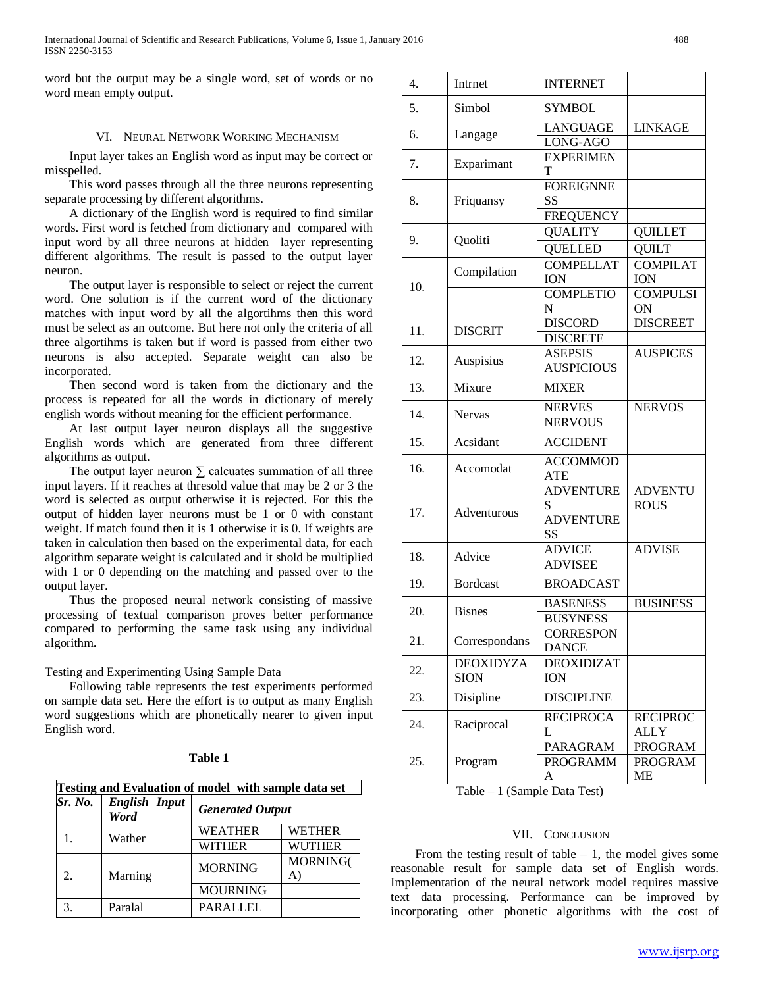word but the output may be a single word, set of words or no word mean empty output.

#### VI. NEURAL NETWORK WORKING MECHANISM

 Input layer takes an English word as input may be correct or misspelled.

 This word passes through all the three neurons representing separate processing by different algorithms.

 A dictionary of the English word is required to find similar words. First word is fetched from dictionary and compared with input word by all three neurons at hidden layer representing different algorithms. The result is passed to the output layer neuron.

 The output layer is responsible to select or reject the current word. One solution is if the current word of the dictionary matches with input word by all the algortihms then this word must be select as an outcome. But here not only the criteria of all three algortihms is taken but if word is passed from either two neurons is also accepted. Separate weight can also be incorporated.

 Then second word is taken from the dictionary and the process is repeated for all the words in dictionary of merely english words without meaning for the efficient performance.

 At last output layer neuron displays all the suggestive English words which are generated from three different algorithms as output.

The output layer neuron  $\Sigma$  calcuates summation of all three input layers. If it reaches at thresold value that may be 2 or 3 the word is selected as output otherwise it is rejected. For this the output of hidden layer neurons must be 1 or 0 with constant weight. If match found then it is 1 otherwise it is 0. If weights are taken in calculation then based on the experimental data, for each algorithm separate weight is calculated and it shold be multiplied with 1 or 0 depending on the matching and passed over to the output layer.

 Thus the proposed neural network consisting of massive processing of textual comparison proves better performance compared to performing the same task using any individual algorithm.

Testing and Experimenting Using Sample Data

 Following table represents the test experiments performed on sample data set. Here the effort is to output as many English word suggestions which are phonetically nearer to given input English word.

| anı |
|-----|
|     |

| Testing and Evaluation of model with sample data set |                              |                         |                 |  |  |
|------------------------------------------------------|------------------------------|-------------------------|-----------------|--|--|
| Sr. No.                                              | <b>English Input</b><br>Word | <b>Generated Output</b> |                 |  |  |
|                                                      | Wather                       | <b>WEATHER</b>          | <b>WETHER</b>   |  |  |
|                                                      |                              | <b>WITHER</b>           | <b>WUTHER</b>   |  |  |
|                                                      | Marning                      | <b>MORNING</b>          | <b>MORNING(</b> |  |  |
|                                                      |                              |                         | $A^{\prime}$    |  |  |
|                                                      |                              | <b>MOURNING</b>         |                 |  |  |
|                                                      | Paralal                      | <b>PARALLEL</b>         |                 |  |  |

| $\overline{4}$ . | Intrnet          | <b>INTERNET</b>                            |                               |
|------------------|------------------|--------------------------------------------|-------------------------------|
| 5.               | Simbol           | <b>SYMBOL</b>                              |                               |
| 6.               | Langage          | LANGUAGE                                   | <b>LINKAGE</b>                |
|                  |                  | LONG-AGO                                   |                               |
| 7.               | Exparimant       | <b>EXPERIMEN</b><br>T                      |                               |
| 8.               | Friquansy        | <b>FOREIGNNE</b><br>SS<br><b>FREQUENCY</b> |                               |
|                  |                  | <b>QUALITY</b>                             | <b>QUILLET</b>                |
| 9.               | Quoliti          | <b>QUELLED</b>                             | QUILT                         |
|                  |                  | <b>COMPELLAT</b>                           | <b>COMPILAT</b>               |
| 10.              | Compilation      | <b>ION</b>                                 | <b>ION</b>                    |
|                  |                  | <b>COMPLETIO</b>                           | <b>COMPULSI</b>               |
|                  |                  | N                                          | ON                            |
|                  |                  | <b>DISCORD</b>                             | <b>DISCREET</b>               |
| 11.              | <b>DISCRIT</b>   | <b>DISCRETE</b>                            |                               |
|                  |                  | <b>ASEPSIS</b>                             | <b>AUSPICES</b>               |
| 12.              | Auspisius        | <b>AUSPICIOUS</b>                          |                               |
| 13.              | Mixure           | <b>MIXER</b>                               |                               |
|                  |                  | <b>NERVES</b>                              | <b>NERVOS</b>                 |
| 14.              | Nervas           | <b>NERVOUS</b>                             |                               |
| 15.              | Acsidant         | <b>ACCIDENT</b>                            |                               |
| 16.              | Accomodat        | <b>ACCOMMOD</b><br>ATE                     |                               |
| 17.              | Adventurous      | <b>ADVENTURE</b><br>S                      | <b>ADVENTU</b><br><b>ROUS</b> |
|                  |                  | <b>ADVENTURE</b><br>SS                     |                               |
| 18.              | Advice           | <b>ADVICE</b>                              | <b>ADVISE</b>                 |
|                  |                  | <b>ADVISEE</b>                             |                               |
| 19.              | <b>Bordcast</b>  | <b>BROADCAST</b>                           |                               |
| 20.              | <b>Bisnes</b>    | <b>BASENESS</b>                            | <b>BUSINESS</b>               |
|                  |                  | <b>BUSYNESS</b>                            |                               |
| 21.              | Correspondans    | CORRESPON<br><b>DANCE</b>                  |                               |
| 22.              | <b>DEOXIDYZA</b> | <b>DEOXIDIZAT</b>                          |                               |
|                  | <b>SION</b>      | <b>ION</b>                                 |                               |
| 23.              | Disipline        | <b>DISCIPLINE</b>                          |                               |
| 24.              | Raciprocal       | <b>RECIPROCA</b>                           | <b>RECIPROC</b>               |
|                  |                  | L                                          | ALLY                          |
| 25.              | Program          | <b>PARAGRAM</b>                            | <b>PROGRAM</b>                |
|                  |                  | <b>PROGRAMM</b>                            | <b>PROGRAM</b>                |
|                  |                  | A                                          | ME                            |

Table – 1 (Sample Data Test)

# VII. CONCLUSION

From the testing result of table  $-1$ , the model gives some reasonable result for sample data set of English words. Implementation of the neural network model requires massive text data processing. Performance can be improved by incorporating other phonetic algorithms with the cost of